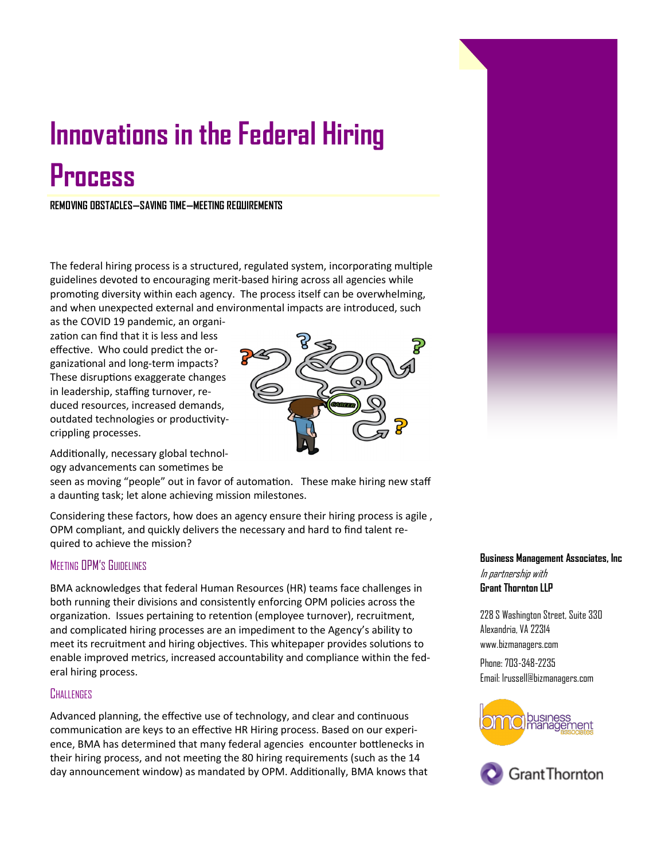# **Innovations in the Federal Hiring Process**

**REMOVING OBSTACLES—SAVING TIME—MEETING REQUIREMENTS**

The federal hiring process is a structured, regulated system, incorporating multiple guidelines devoted to encouraging merit-based hiring across all agencies while promoting diversity within each agency. The process itself can be overwhelming, and when unexpected external and environmental impacts are introduced, such

as the COVID 19 pandemic, an organization can find that it is less and less effective. Who could predict the organizational and long-term impacts? These disruptions exaggerate changes in leadership, staffing turnover, reduced resources, increased demands, outdated technologies or productivitycrippling processes.



Additionally, necessary global technology advancements can sometimes be

seen as moving "people" out in favor of automation. These make hiring new staff a daunting task; let alone achieving mission milestones.

Considering these factors, how does an agency ensure their hiring process is agile , OPM compliant, and quickly delivers the necessary and hard to find talent required to achieve the mission?

# MEETING OPM'S GUIDELINES

BMA acknowledges that federal Human Resources (HR) teams face challenges in both running their divisions and consistently enforcing OPM policies across the organization. Issues pertaining to retention (employee turnover), recruitment, and complicated hiring processes are an impediment to the Agency's ability to meet its recruitment and hiring objectives. This whitepaper provides solutions to enable improved metrics, increased accountability and compliance within the federal hiring process.

### **CHALLENGES**

Advanced planning, the effective use of technology, and clear and continuous communication are keys to an effective HR Hiring process. Based on our experience, BMA has determined that many federal agencies encounter bottlenecks in their hiring process, and not meeting the 80 hiring requirements (such as the 14 day announcement window) as mandated by OPM. Additionally, BMA knows that

# **Business Management Associates, Inc** In partnership with **Grant Thornton LLP**

228 S Washington Street, Suite 330 Alexandria, VA 22314 www.bizmanagers.com Phone: 703-348-2235 Email: lrussell@bizmanagers.com